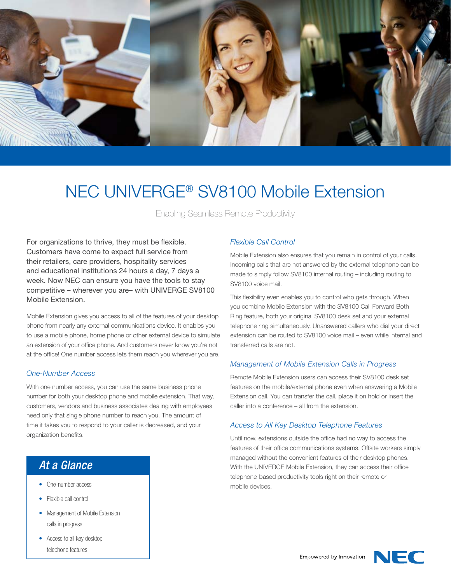

# NEC UNIVERGE® SV8100 Mobile Extension

Enabling Seamless Remote Productivity

For organizations to thrive, they must be flexible. Customers have come to expect full service from their retailers, care providers, hospitality services and educational institutions 24 hours a day, 7 days a week. Now NEC can ensure you have the tools to stay competitive – wherever you are– with UNIVERGE SV8100 Mobile Extension.

Mobile Extension gives you access to all of the features of your desktop phone from nearly any external communications device. It enables you to use a mobile phone, home phone or other external device to simulate an extension of your office phone. And customers never know you're not at the office! One number access lets them reach you wherever you are.

#### *One-Number Access*

With one number access, you can use the same business phone number for both your desktop phone and mobile extension. That way, customers, vendors and business associates dealing with employees need only that single phone number to reach you. The amount of time it takes you to respond to your caller is decreased, and your organization benefits.

# *At a Glance*

- One-number access
- Flexible call control
- Management of Mobile Extension calls in progress
- Access to all key desktop telephone features

## *Flexible Call Control*

Mobile Extension also ensures that you remain in control of your calls. Incoming calls that are not answered by the external telephone can be made to simply follow SV8100 internal routing – including routing to SV8100 voice mail.

This flexibility even enables you to control who gets through. When you combine Mobile Extension with the SV8100 Call Forward Both Ring feature, both your original SV8100 desk set and your external telephone ring simultaneously. Unanswered callers who dial your direct extension can be routed to SV8100 voice mail – even while internal and transferred calls are not.

### *Management of Mobile Extension Calls in Progress*

Remote Mobile Extension users can access their SV8100 desk set features on the mobile/external phone even when answering a Mobile Extension call. You can transfer the call, place it on hold or insert the caller into a conference – all from the extension.

#### *Access to All Key Desktop Telephone Features*

Until now, extensions outside the office had no way to access the features of their office communications systems. Offsite workers simply managed without the convenient features of their desktop phones. With the UNIVERGE Mobile Extension, they can access their office telephone-based productivity tools right on their remote or mobile devices.